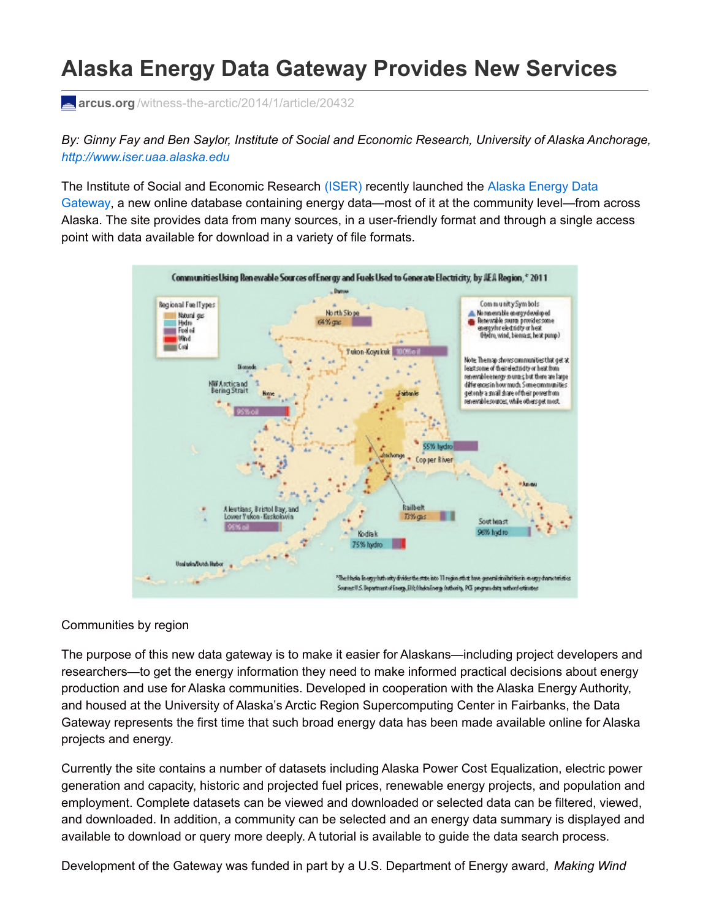## **Alaska Energy Data Gateway Provides New Services**

**arcus.org** [/witness-the-arctic/2014/1/article/20432](http://www.arcus.org/witness-the-arctic/2014/1/article/20432)

*By: Ginny Fay and Ben Saylor, Institute of Social and Economic Research, University of Alaska Anchorage, <http://www.iser.uaa.alaska.edu>*

The Institute of Social and Economic Research [\(ISER\)](http://www.iser.uaa.alaska.edu) recently launched the Alaska Energy Data Gateway, a new online database containing energy [data—most](https://akenergygateway.alaska.edu) of it at the community level—from across Alaska. The site provides data from many sources, in a user-friendly format and through a single access point with data available for download in a variety of file formats.



## Communities by region

The purpose of this new data gateway is to make it easier for Alaskans—including project developers and researchers—to get the energy information they need to make informed practical decisions about energy production and use for Alaska communities. Developed in cooperation with the Alaska Energy Authority, and housed at the University of Alaska's Arctic Region Supercomputing Center in Fairbanks, the Data Gateway represents the first time that such broad energy data has been made available online for Alaska projects and energy.

Currently the site contains a number of datasets including Alaska Power Cost Equalization, electric power generation and capacity, historic and projected fuel prices, renewable energy projects, and population and employment. Complete datasets can be viewed and downloaded or selected data can be filtered, viewed, and downloaded. In addition, a community can be selected and an energy data summary is displayed and available to download or query more deeply. A tutorial is available to guide the data search process.

Development of the Gateway was funded in part by a U.S. Department of Energy award, *Making Wind*